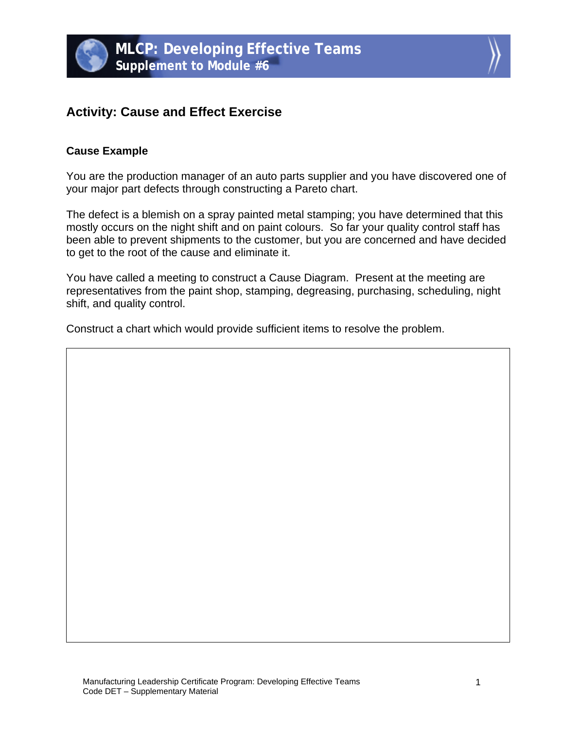



# **Activity: Cause and Effect Exercise**

## **Cause Example**

You are the production manager of an auto parts supplier and you have discovered one of your major part defects through constructing a Pareto chart.

The defect is a blemish on a spray painted metal stamping; you have determined that this mostly occurs on the night shift and on paint colours. So far your quality control staff has been able to prevent shipments to the customer, but you are concerned and have decided to get to the root of the cause and eliminate it.

You have called a meeting to construct a Cause Diagram. Present at the meeting are representatives from the paint shop, stamping, degreasing, purchasing, scheduling, night shift, and quality control.

Construct a chart which would provide sufficient items to resolve the problem.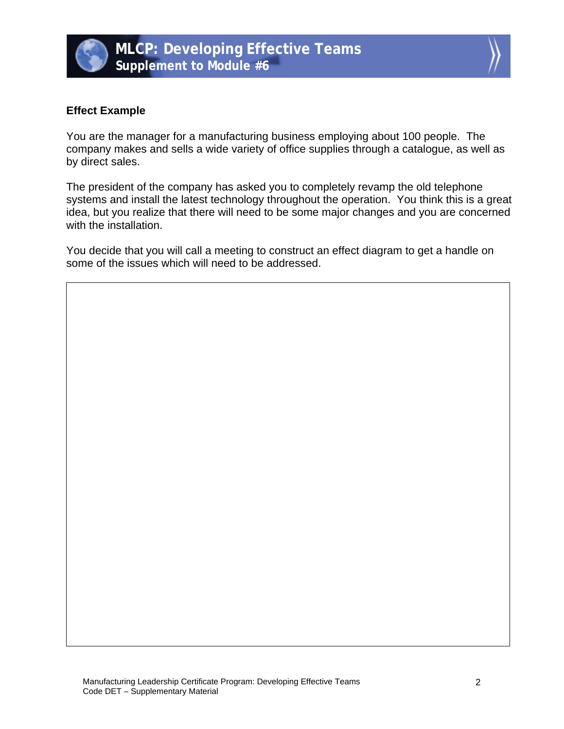



#### **Effect Example**

You are the manager for a manufacturing business employing about 100 people. The company makes and sells a wide variety of office supplies through a catalogue, as well as by direct sales.

The president of the company has asked you to completely revamp the old telephone systems and install the latest technology throughout the operation. You think this is a great idea, but you realize that there will need to be some major changes and you are concerned with the installation.

You decide that you will call a meeting to construct an effect diagram to get a handle on some of the issues which will need to be addressed.